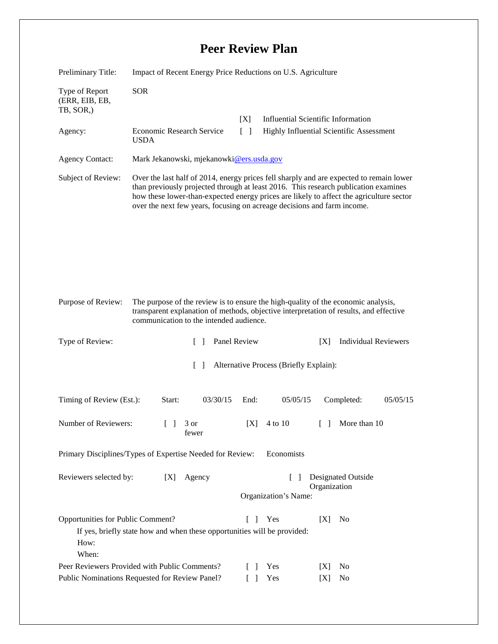## **Peer Review Plan**

| Preliminary Title:                                                                                                                                                                                                                           | Impact of Recent Energy Price Reductions on U.S. Agriculture                                                                                                                                                                                                                                                                                         |                                                         |                                                                                |                             |  |
|----------------------------------------------------------------------------------------------------------------------------------------------------------------------------------------------------------------------------------------------|------------------------------------------------------------------------------------------------------------------------------------------------------------------------------------------------------------------------------------------------------------------------------------------------------------------------------------------------------|---------------------------------------------------------|--------------------------------------------------------------------------------|-----------------------------|--|
| Type of Report<br>(ERR, EIB, EB,<br>TB, SOR,)                                                                                                                                                                                                | <b>SOR</b>                                                                                                                                                                                                                                                                                                                                           |                                                         |                                                                                |                             |  |
| Agency:                                                                                                                                                                                                                                      | Economic Research Service                                                                                                                                                                                                                                                                                                                            | [X]<br>$\lceil \; \rceil$                               | Influential Scientific Information<br>Highly Influential Scientific Assessment |                             |  |
|                                                                                                                                                                                                                                              | <b>USDA</b>                                                                                                                                                                                                                                                                                                                                          |                                                         |                                                                                |                             |  |
| <b>Agency Contact:</b>                                                                                                                                                                                                                       | Mark Jekanowski, mjekanowki@ers.usda.gov                                                                                                                                                                                                                                                                                                             |                                                         |                                                                                |                             |  |
| Subject of Review:                                                                                                                                                                                                                           | Over the last half of 2014, energy prices fell sharply and are expected to remain lower<br>than previously projected through at least 2016. This research publication examines<br>how these lower-than-expected energy prices are likely to affect the agriculture sector<br>over the next few years, focusing on acreage decisions and farm income. |                                                         |                                                                                |                             |  |
|                                                                                                                                                                                                                                              |                                                                                                                                                                                                                                                                                                                                                      |                                                         |                                                                                |                             |  |
| Purpose of Review:<br>The purpose of the review is to ensure the high-quality of the economic analysis,<br>transparent explanation of methods, objective interpretation of results, and effective<br>communication to the intended audience. |                                                                                                                                                                                                                                                                                                                                                      |                                                         |                                                                                |                             |  |
| Type of Review:                                                                                                                                                                                                                              | $\Box$                                                                                                                                                                                                                                                                                                                                               | Panel Review                                            | [X]                                                                            | <b>Individual Reviewers</b> |  |
| Alternative Process (Briefly Explain):<br>$\Box$                                                                                                                                                                                             |                                                                                                                                                                                                                                                                                                                                                      |                                                         |                                                                                |                             |  |
| Timing of Review (Est.):                                                                                                                                                                                                                     | 03/30/15<br>Start:                                                                                                                                                                                                                                                                                                                                   | End:                                                    | 05/05/15                                                                       | 05/05/15<br>Completed:      |  |
| Number of Reviewers:                                                                                                                                                                                                                         | 3 or<br>fewer                                                                                                                                                                                                                                                                                                                                        | [X]                                                     | 4 to 10                                                                        | More than 10                |  |
| Economists<br>Primary Disciplines/Types of Expertise Needed for Review:                                                                                                                                                                      |                                                                                                                                                                                                                                                                                                                                                      |                                                         |                                                                                |                             |  |
| Reviewers selected by:<br>Agency<br>[X]                                                                                                                                                                                                      |                                                                                                                                                                                                                                                                                                                                                      | Designated Outside<br>$\lceil \ \rceil$<br>Organization |                                                                                |                             |  |
|                                                                                                                                                                                                                                              |                                                                                                                                                                                                                                                                                                                                                      |                                                         | Organization's Name:                                                           |                             |  |
| Opportunities for Public Comment?<br>[X]<br>Yes<br>N <sub>0</sub><br>L<br>$\perp$<br>If yes, briefly state how and when these opportunities will be provided:<br>How:<br>When:                                                               |                                                                                                                                                                                                                                                                                                                                                      |                                                         |                                                                                |                             |  |
| Peer Reviewers Provided with Public Comments?                                                                                                                                                                                                |                                                                                                                                                                                                                                                                                                                                                      |                                                         | Yes<br> X                                                                      | No                          |  |
| Public Nominations Requested for Review Panel?                                                                                                                                                                                               |                                                                                                                                                                                                                                                                                                                                                      |                                                         | Yes<br>[X]                                                                     | No                          |  |